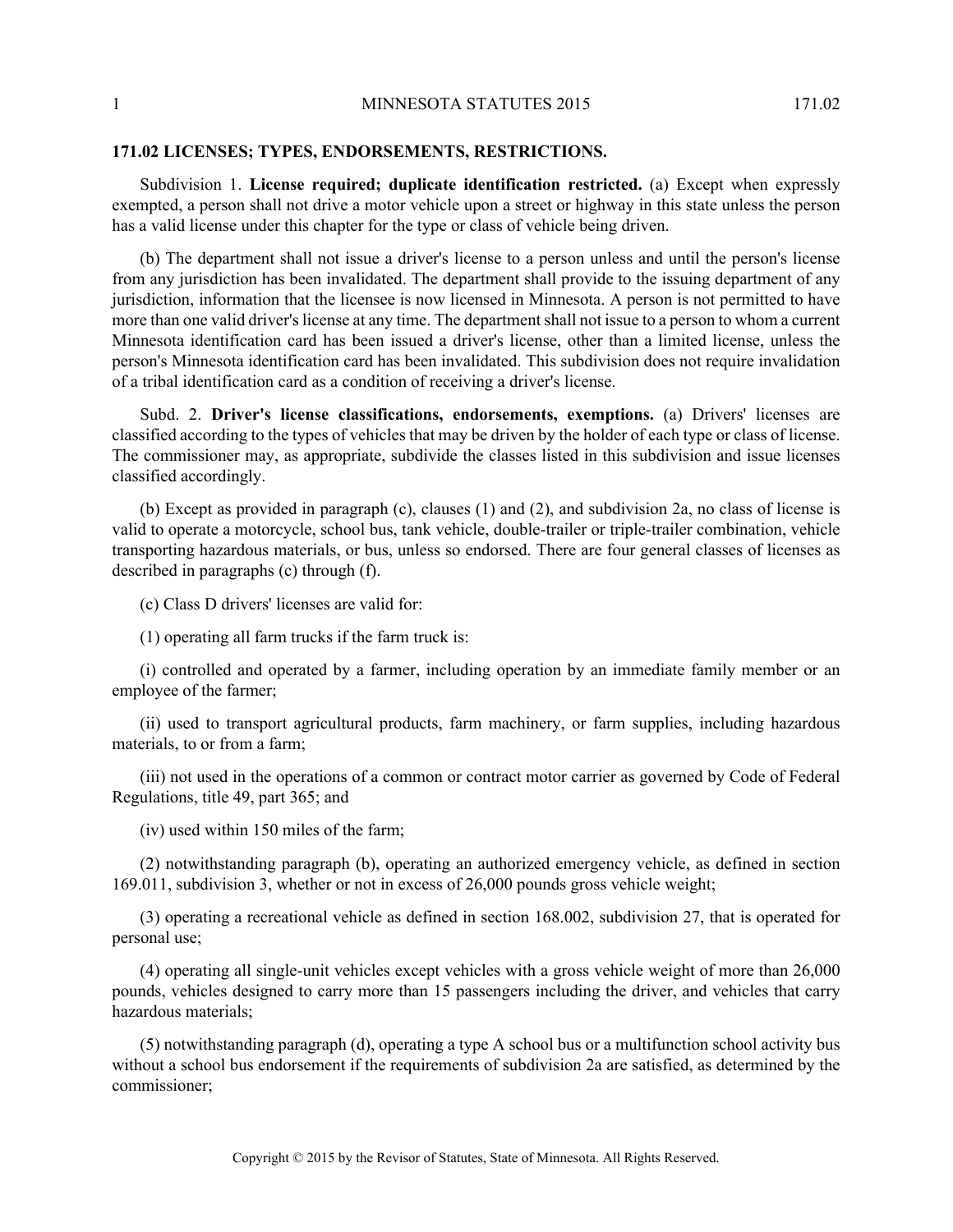## **171.02 LICENSES; TYPES, ENDORSEMENTS, RESTRICTIONS.**

Subdivision 1. **License required; duplicate identification restricted.** (a) Except when expressly exempted, a person shall not drive a motor vehicle upon a street or highway in this state unless the person has a valid license under this chapter for the type or class of vehicle being driven.

(b) The department shall not issue a driver's license to a person unless and until the person's license from any jurisdiction has been invalidated. The department shall provide to the issuing department of any jurisdiction, information that the licensee is now licensed in Minnesota. A person is not permitted to have more than one valid driver's license at any time. The department shall not issue to a person to whom a current Minnesota identification card has been issued a driver's license, other than a limited license, unless the person's Minnesota identification card has been invalidated. This subdivision does not require invalidation of a tribal identification card as a condition of receiving a driver's license.

Subd. 2. **Driver's license classifications, endorsements, exemptions.** (a) Drivers' licenses are classified according to the types of vehicles that may be driven by the holder of each type or class of license. The commissioner may, as appropriate, subdivide the classes listed in this subdivision and issue licenses classified accordingly.

(b) Except as provided in paragraph (c), clauses (1) and (2), and subdivision 2a, no class of license is valid to operate a motorcycle, school bus, tank vehicle, double-trailer or triple-trailer combination, vehicle transporting hazardous materials, or bus, unless so endorsed. There are four general classes of licenses as described in paragraphs (c) through (f).

(c) Class D drivers' licenses are valid for:

(1) operating all farm trucks if the farm truck is:

(i) controlled and operated by a farmer, including operation by an immediate family member or an employee of the farmer;

(ii) used to transport agricultural products, farm machinery, or farm supplies, including hazardous materials, to or from a farm;

(iii) not used in the operations of a common or contract motor carrier as governed by Code of Federal Regulations, title 49, part 365; and

(iv) used within 150 miles of the farm;

(2) notwithstanding paragraph (b), operating an authorized emergency vehicle, as defined in section 169.011, subdivision 3, whether or not in excess of 26,000 pounds gross vehicle weight;

(3) operating a recreational vehicle as defined in section 168.002, subdivision 27, that is operated for personal use;

(4) operating all single-unit vehicles except vehicles with a gross vehicle weight of more than 26,000 pounds, vehicles designed to carry more than 15 passengers including the driver, and vehicles that carry hazardous materials;

(5) notwithstanding paragraph (d), operating a type A school bus or a multifunction school activity bus without a school bus endorsement if the requirements of subdivision 2a are satisfied, as determined by the commissioner;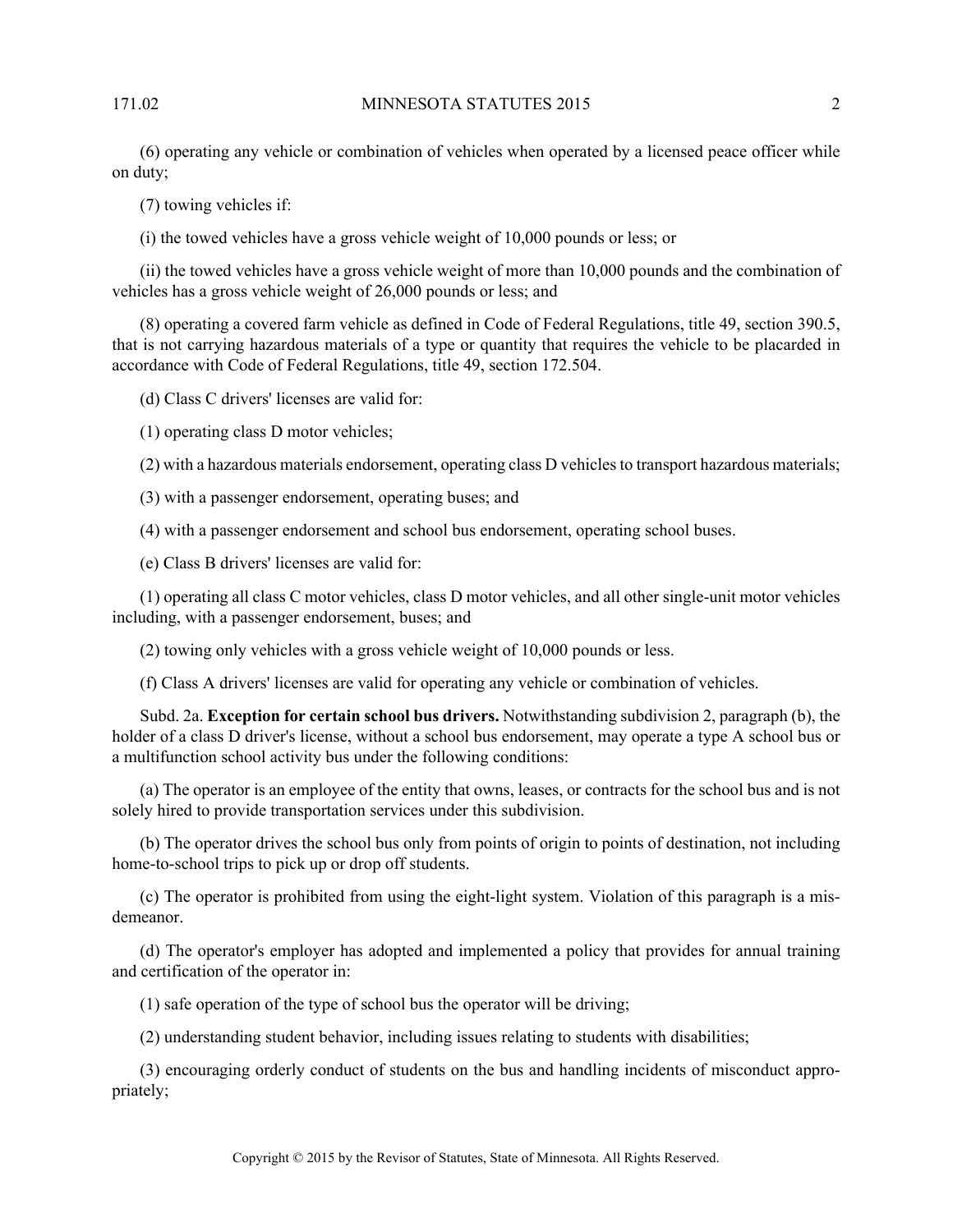(6) operating any vehicle or combination of vehicles when operated by a licensed peace officer while on duty;

(7) towing vehicles if:

(i) the towed vehicles have a gross vehicle weight of 10,000 pounds or less; or

(ii) the towed vehicles have a gross vehicle weight of more than 10,000 pounds and the combination of vehicles has a gross vehicle weight of 26,000 pounds or less; and

(8) operating a covered farm vehicle as defined in Code of Federal Regulations, title 49, section 390.5, that is not carrying hazardous materials of a type or quantity that requires the vehicle to be placarded in accordance with Code of Federal Regulations, title 49, section 172.504.

(d) Class C drivers' licenses are valid for:

(1) operating class D motor vehicles;

(2) with a hazardous materials endorsement, operating class D vehicles to transport hazardous materials;

(3) with a passenger endorsement, operating buses; and

(4) with a passenger endorsement and school bus endorsement, operating school buses.

(e) Class B drivers' licenses are valid for:

(1) operating all class C motor vehicles, class D motor vehicles, and all other single-unit motor vehicles including, with a passenger endorsement, buses; and

(2) towing only vehicles with a gross vehicle weight of 10,000 pounds or less.

(f) Class A drivers' licenses are valid for operating any vehicle or combination of vehicles.

Subd. 2a. **Exception for certain school bus drivers.** Notwithstanding subdivision 2, paragraph (b), the holder of a class D driver's license, without a school bus endorsement, may operate a type A school bus or a multifunction school activity bus under the following conditions:

(a) The operator is an employee of the entity that owns, leases, or contracts for the school bus and is not solely hired to provide transportation services under this subdivision.

(b) The operator drives the school bus only from points of origin to points of destination, not including home-to-school trips to pick up or drop off students.

(c) The operator is prohibited from using the eight-light system. Violation of this paragraph is a misdemeanor.

(d) The operator's employer has adopted and implemented a policy that provides for annual training and certification of the operator in:

(1) safe operation of the type of school bus the operator will be driving;

(2) understanding student behavior, including issues relating to students with disabilities;

(3) encouraging orderly conduct of students on the bus and handling incidents of misconduct appropriately;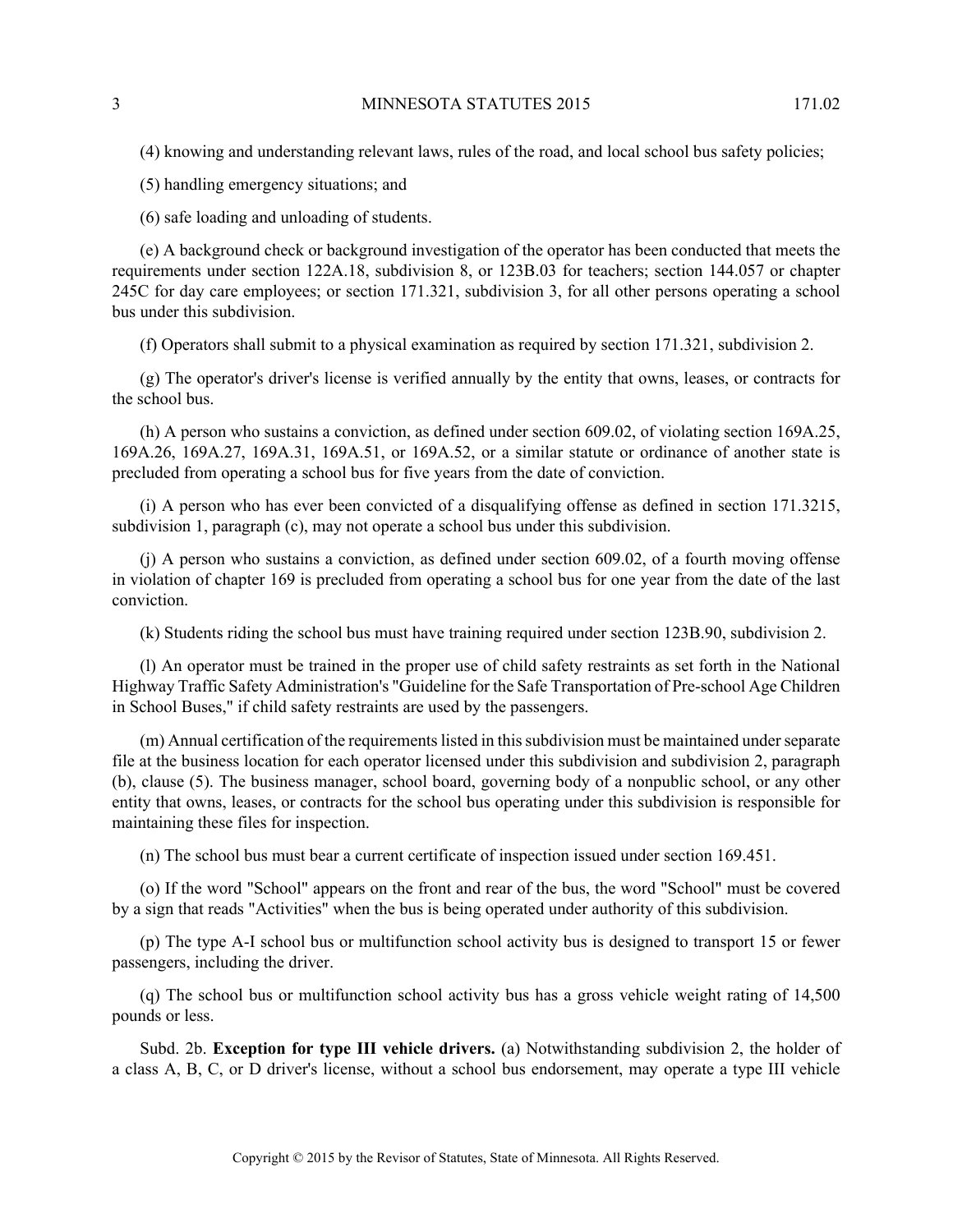(4) knowing and understanding relevant laws, rules of the road, and local school bus safety policies;

(5) handling emergency situations; and

(6) safe loading and unloading of students.

(e) A background check or background investigation of the operator has been conducted that meets the requirements under section 122A.18, subdivision 8, or 123B.03 for teachers; section 144.057 or chapter 245C for day care employees; or section 171.321, subdivision 3, for all other persons operating a school bus under this subdivision.

(f) Operators shall submit to a physical examination as required by section 171.321, subdivision 2.

(g) The operator's driver's license is verified annually by the entity that owns, leases, or contracts for the school bus.

(h) A person who sustains a conviction, as defined under section 609.02, of violating section 169A.25, 169A.26, 169A.27, 169A.31, 169A.51, or 169A.52, or a similar statute or ordinance of another state is precluded from operating a school bus for five years from the date of conviction.

(i) A person who has ever been convicted of a disqualifying offense as defined in section 171.3215, subdivision 1, paragraph (c), may not operate a school bus under this subdivision.

(j) A person who sustains a conviction, as defined under section 609.02, of a fourth moving offense in violation of chapter 169 is precluded from operating a school bus for one year from the date of the last conviction.

(k) Students riding the school bus must have training required under section 123B.90, subdivision 2.

(l) An operator must be trained in the proper use of child safety restraints as set forth in the National Highway Traffic Safety Administration's "Guideline for the Safe Transportation of Pre-school Age Children in School Buses," if child safety restraints are used by the passengers.

(m) Annual certification of the requirements listed in this subdivision must be maintained under separate file at the business location for each operator licensed under this subdivision and subdivision 2, paragraph (b), clause (5). The business manager, school board, governing body of a nonpublic school, or any other entity that owns, leases, or contracts for the school bus operating under this subdivision is responsible for maintaining these files for inspection.

(n) The school bus must bear a current certificate of inspection issued under section 169.451.

(o) If the word "School" appears on the front and rear of the bus, the word "School" must be covered by a sign that reads "Activities" when the bus is being operated under authority of this subdivision.

(p) The type A-I school bus or multifunction school activity bus is designed to transport 15 or fewer passengers, including the driver.

(q) The school bus or multifunction school activity bus has a gross vehicle weight rating of 14,500 pounds or less.

Subd. 2b. **Exception for type III vehicle drivers.** (a) Notwithstanding subdivision 2, the holder of a class A, B, C, or D driver's license, without a school bus endorsement, may operate a type III vehicle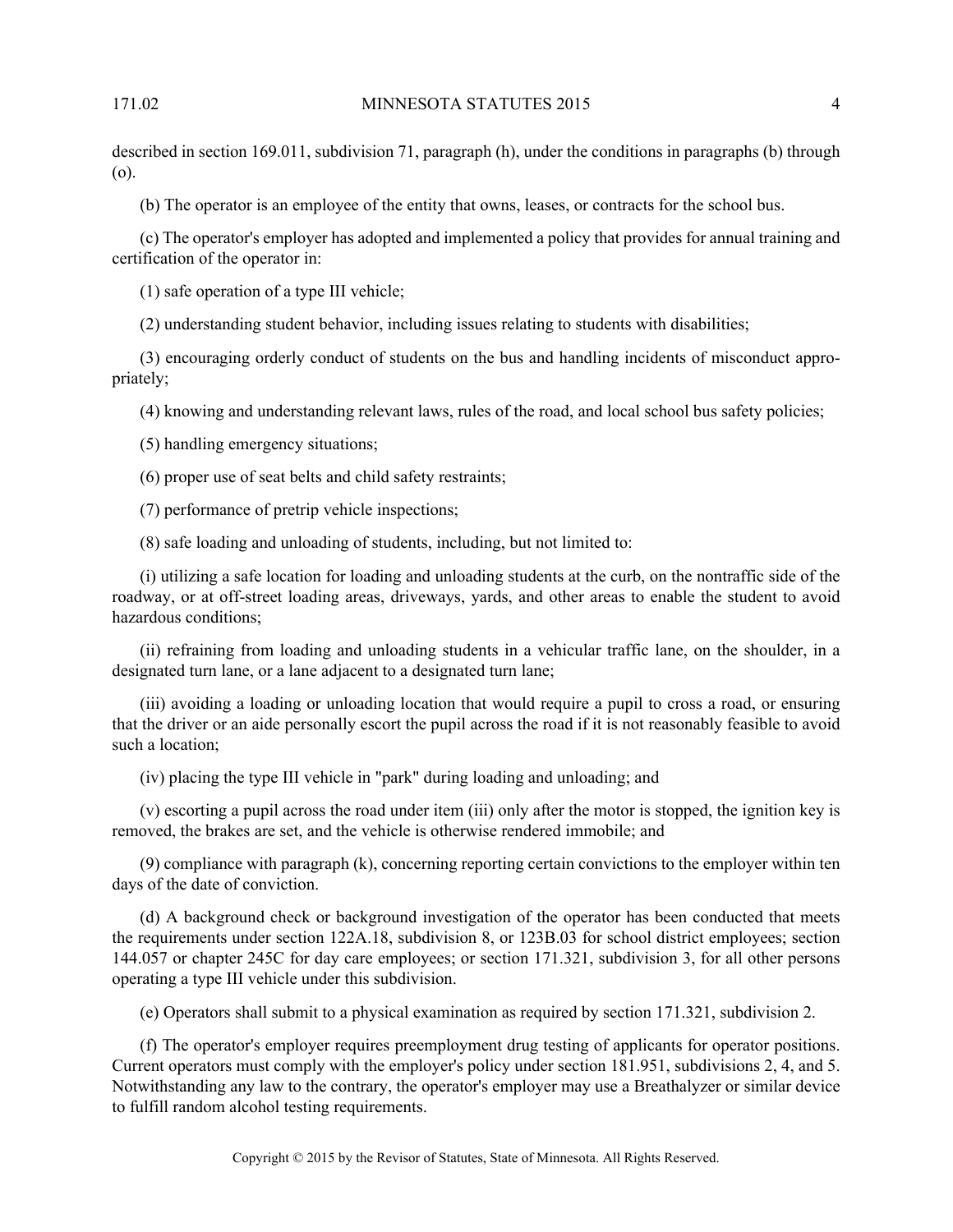described in section 169.011, subdivision 71, paragraph (h), under the conditions in paragraphs (b) through (o).

(b) The operator is an employee of the entity that owns, leases, or contracts for the school bus.

(c) The operator's employer has adopted and implemented a policy that provides for annual training and certification of the operator in:

(1) safe operation of a type III vehicle;

(2) understanding student behavior, including issues relating to students with disabilities;

(3) encouraging orderly conduct of students on the bus and handling incidents of misconduct appropriately;

(4) knowing and understanding relevant laws, rules of the road, and local school bus safety policies;

(5) handling emergency situations;

(6) proper use of seat belts and child safety restraints;

(7) performance of pretrip vehicle inspections;

(8) safe loading and unloading of students, including, but not limited to:

(i) utilizing a safe location for loading and unloading students at the curb, on the nontraffic side of the roadway, or at off-street loading areas, driveways, yards, and other areas to enable the student to avoid hazardous conditions;

(ii) refraining from loading and unloading students in a vehicular traffic lane, on the shoulder, in a designated turn lane, or a lane adjacent to a designated turn lane;

(iii) avoiding a loading or unloading location that would require a pupil to cross a road, or ensuring that the driver or an aide personally escort the pupil across the road if it is not reasonably feasible to avoid such a location;

(iv) placing the type III vehicle in "park" during loading and unloading; and

(v) escorting a pupil across the road under item (iii) only after the motor is stopped, the ignition key is removed, the brakes are set, and the vehicle is otherwise rendered immobile; and

(9) compliance with paragraph (k), concerning reporting certain convictions to the employer within ten days of the date of conviction.

(d) A background check or background investigation of the operator has been conducted that meets the requirements under section 122A.18, subdivision 8, or 123B.03 for school district employees; section 144.057 or chapter 245C for day care employees; or section 171.321, subdivision 3, for all other persons operating a type III vehicle under this subdivision.

(e) Operators shall submit to a physical examination as required by section 171.321, subdivision 2.

(f) The operator's employer requires preemployment drug testing of applicants for operator positions. Current operators must comply with the employer's policy under section 181.951, subdivisions 2, 4, and 5. Notwithstanding any law to the contrary, the operator's employer may use a Breathalyzer or similar device to fulfill random alcohol testing requirements.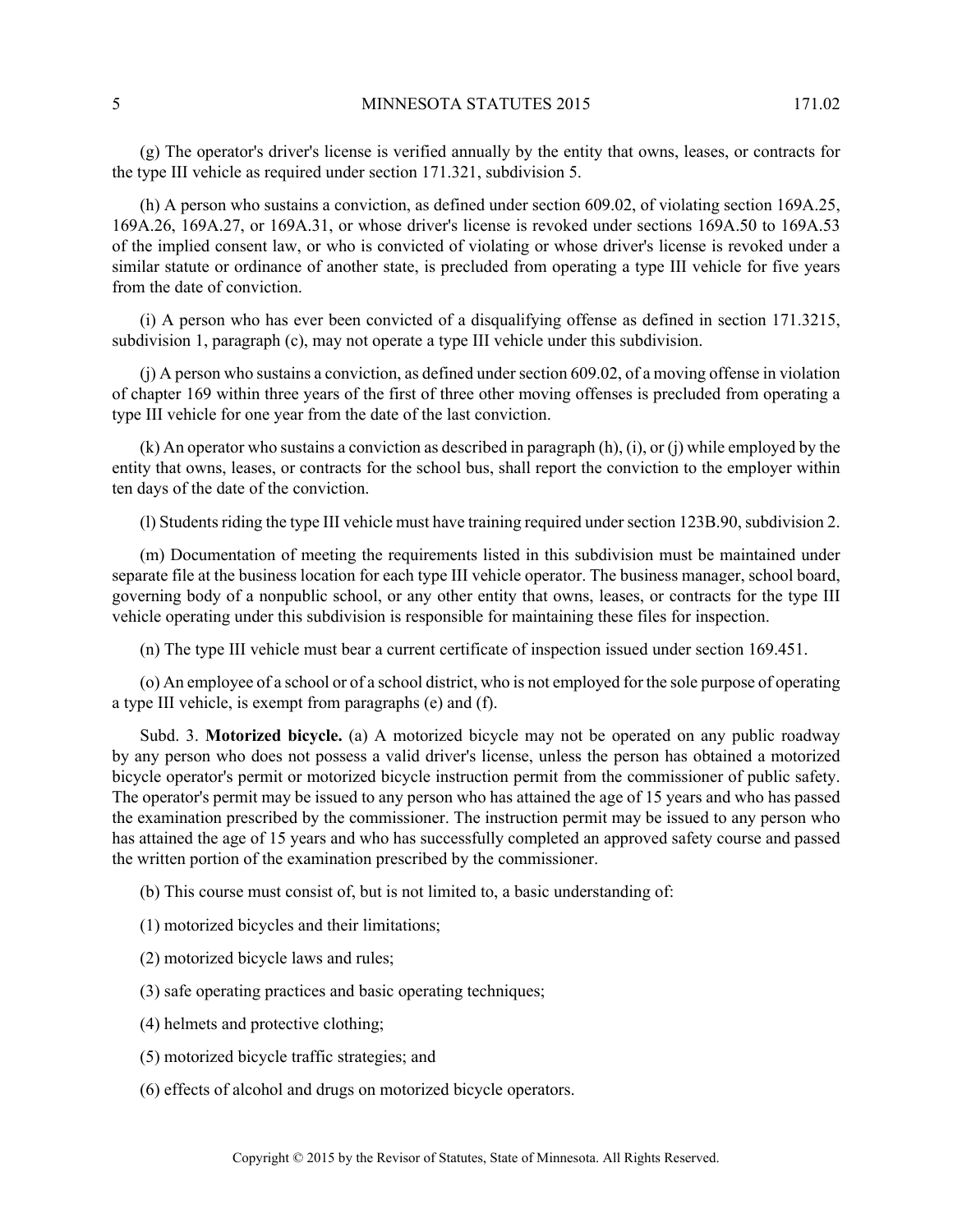(g) The operator's driver's license is verified annually by the entity that owns, leases, or contracts for the type III vehicle as required under section 171.321, subdivision 5.

(h) A person who sustains a conviction, as defined under section 609.02, of violating section 169A.25, 169A.26, 169A.27, or 169A.31, or whose driver's license is revoked under sections 169A.50 to 169A.53 of the implied consent law, or who is convicted of violating or whose driver's license is revoked under a similar statute or ordinance of another state, is precluded from operating a type III vehicle for five years from the date of conviction.

(i) A person who has ever been convicted of a disqualifying offense as defined in section 171.3215, subdivision 1, paragraph (c), may not operate a type III vehicle under this subdivision.

(j) A person who sustains a conviction, as defined under section 609.02, of a moving offense in violation of chapter 169 within three years of the first of three other moving offenses is precluded from operating a type III vehicle for one year from the date of the last conviction.

(k) An operator who sustains a conviction as described in paragraph (h), (i), or (j) while employed by the entity that owns, leases, or contracts for the school bus, shall report the conviction to the employer within ten days of the date of the conviction.

(l) Students riding the type III vehicle must have training required under section 123B.90, subdivision 2.

(m) Documentation of meeting the requirements listed in this subdivision must be maintained under separate file at the business location for each type III vehicle operator. The business manager, school board, governing body of a nonpublic school, or any other entity that owns, leases, or contracts for the type III vehicle operating under this subdivision is responsible for maintaining these files for inspection.

(n) The type III vehicle must bear a current certificate of inspection issued under section 169.451.

(o) An employee of a school or of a school district, who is not employed for the sole purpose of operating a type III vehicle, is exempt from paragraphs (e) and (f).

Subd. 3. **Motorized bicycle.** (a) A motorized bicycle may not be operated on any public roadway by any person who does not possess a valid driver's license, unless the person has obtained a motorized bicycle operator's permit or motorized bicycle instruction permit from the commissioner of public safety. The operator's permit may be issued to any person who has attained the age of 15 years and who has passed the examination prescribed by the commissioner. The instruction permit may be issued to any person who has attained the age of 15 years and who has successfully completed an approved safety course and passed the written portion of the examination prescribed by the commissioner.

(b) This course must consist of, but is not limited to, a basic understanding of:

(1) motorized bicycles and their limitations;

(2) motorized bicycle laws and rules;

(3) safe operating practices and basic operating techniques;

- (4) helmets and protective clothing;
- (5) motorized bicycle traffic strategies; and
- (6) effects of alcohol and drugs on motorized bicycle operators.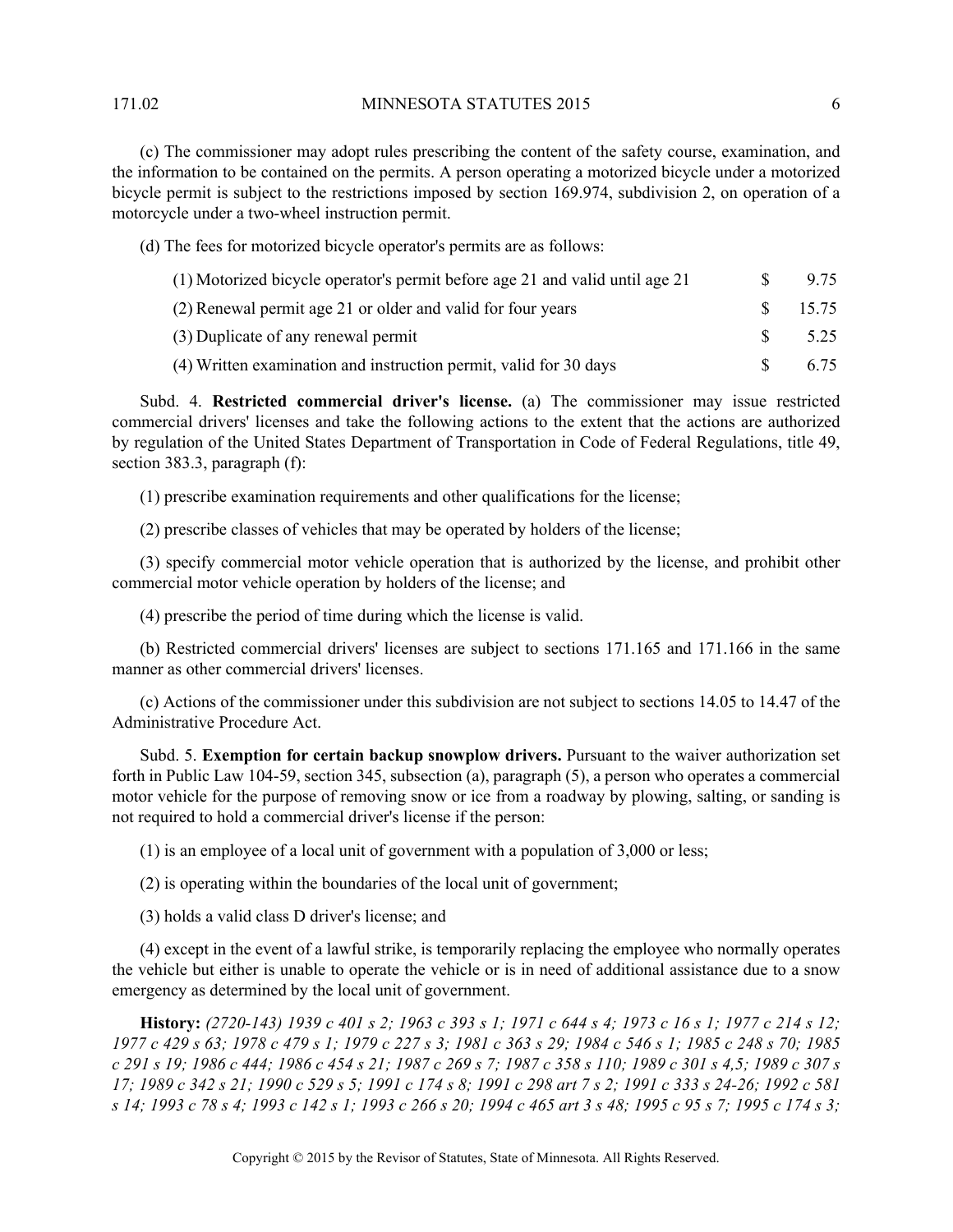171.02 MINNESOTA STATUTES 2015 6

(c) The commissioner may adopt rules prescribing the content of the safety course, examination, and the information to be contained on the permits. A person operating a motorized bicycle under a motorized bicycle permit is subject to the restrictions imposed by section 169.974, subdivision 2, on operation of a motorcycle under a two-wheel instruction permit.

(d) The fees for motorized bicycle operator's permits are as follows:

| (1) Motorized bicycle operator's permit before age 21 and valid until age 21 | -SS | 9.75               |
|------------------------------------------------------------------------------|-----|--------------------|
| (2) Renewal permit age 21 or older and valid for four years                  |     | $\frac{\$}{15.75}$ |
| (3) Duplicate of any renewal permit                                          | -SS | 5.25               |
| (4) Written examination and instruction permit, valid for 30 days            |     | 6.75               |

Subd. 4. **Restricted commercial driver's license.** (a) The commissioner may issue restricted commercial drivers' licenses and take the following actions to the extent that the actions are authorized by regulation of the United States Department of Transportation in Code of Federal Regulations, title 49, section 383.3, paragraph (f):

(1) prescribe examination requirements and other qualifications for the license;

(2) prescribe classes of vehicles that may be operated by holders of the license;

(3) specify commercial motor vehicle operation that is authorized by the license, and prohibit other commercial motor vehicle operation by holders of the license; and

(4) prescribe the period of time during which the license is valid.

(b) Restricted commercial drivers' licenses are subject to sections 171.165 and 171.166 in the same manner as other commercial drivers' licenses.

(c) Actions of the commissioner under this subdivision are not subject to sections 14.05 to 14.47 of the Administrative Procedure Act.

Subd. 5. **Exemption for certain backup snowplow drivers.** Pursuant to the waiver authorization set forth in Public Law 104-59, section 345, subsection (a), paragraph (5), a person who operates a commercial motor vehicle for the purpose of removing snow or ice from a roadway by plowing, salting, or sanding is not required to hold a commercial driver's license if the person:

(1) is an employee of a local unit of government with a population of 3,000 or less;

(2) is operating within the boundaries of the local unit of government;

(3) holds a valid class D driver's license; and

(4) except in the event of a lawful strike, is temporarily replacing the employee who normally operates the vehicle but either is unable to operate the vehicle or is in need of additional assistance due to a snow emergency as determined by the local unit of government.

**History:** *(2720-143) 1939 c 401 s 2; 1963 c 393 s 1; 1971 c 644 s 4; 1973 c 16 s 1; 1977 c 214 s 12; 1977 c 429 s 63; 1978 c 479 s 1; 1979 c 227 s 3; 1981 c 363 s 29; 1984 c 546 s 1; 1985 c 248 s 70; 1985 c 291 s 19; 1986 c 444; 1986 c 454 s 21; 1987 c 269 s 7; 1987 c 358 s 110; 1989 c 301 s 4,5; 1989 c 307 s 17; 1989 c 342 s 21; 1990 c 529 s 5; 1991 c 174 s 8; 1991 c 298 art 7 s 2; 1991 c 333 s 24-26; 1992 c 581 s 14; 1993 c 78 s 4; 1993 c 142 s 1; 1993 c 266 s 20; 1994 c 465 art 3 s 48; 1995 c 95 s 7; 1995 c 174 s 3;*